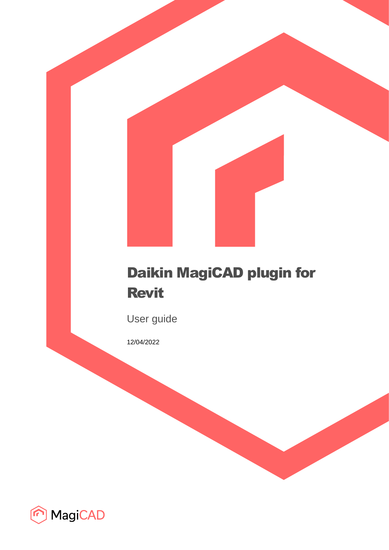# Daikin MagiCAD plugin for Revit

User guide

12/04/2022

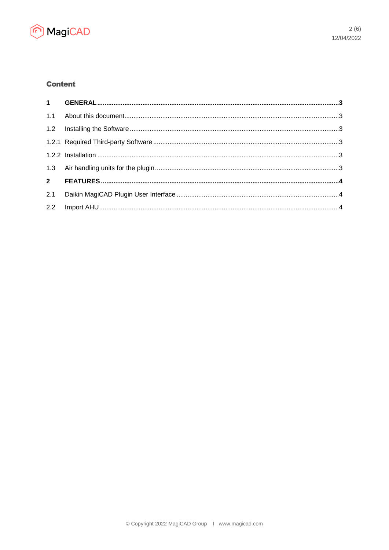

# **Content**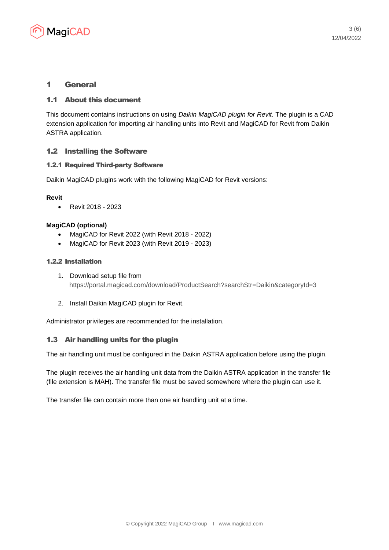

# 1 General

## 1.1 About this document

This document contains instructions on using *Daikin MagiCAD plugin for Revit*. The plugin is a CAD extension application for importing air handling units into Revit and MagiCAD for Revit from Daikin ASTRA application.

# 1.2 Installing the Software

#### 1.2.1 Required Third-party Software

Daikin MagiCAD plugins work with the following MagiCAD for Revit versions:

#### **Revit**

• Revit 2018 - 2023

#### **MagiCAD (optional)**

- MagiCAD for Revit 2022 (with Revit 2018 2022)
- MagiCAD for Revit 2023 (with Revit 2019 2023)

#### 1.2.2 Installation

- 1. Download setup file from <https://portal.magicad.com/download/ProductSearch?searchStr=Daikin&categoryId=3>
- 2. Install Daikin MagiCAD plugin for Revit.

Administrator privileges are recommended for the installation.

# 1.3 Air handling units for the plugin

The air handling unit must be configured in the Daikin ASTRA application before using the plugin.

The plugin receives the air handling unit data from the Daikin ASTRA application in the transfer file (file extension is MAH). The transfer file must be saved somewhere where the plugin can use it.

The transfer file can contain more than one air handling unit at a time.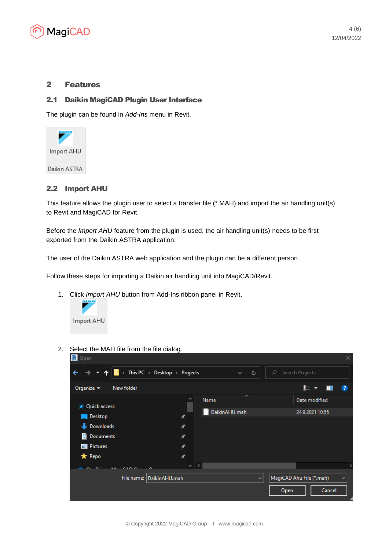

# 2 Features

# 2.1 Daikin MagiCAD Plugin User Interface

The plugin can be found in *Add-Ins* menu in Revit.



## 2.2 Import AHU

This feature allows the plugin user to select a transfer file (\*.MAH) and import the air handling unit(s) to Revit and MagiCAD for Revit.

Before the *Import AHU* feature from the plugin is used, the air handling unit(s) needs to be first exported from the Daikin ASTRA application.

The user of the Daikin ASTRA web application and the plugin can be a different person.

Follow these steps for importing a Daikin air handling unit into MagiCAD/Revit.

1. Click *Import AHU* button from Add-Ins ribbon panel in Revit.



2. Select the MAH file from the file dialog.

| R Open                                                                                                                                                                                                                                                                                                 |                                                      |                                           |
|--------------------------------------------------------------------------------------------------------------------------------------------------------------------------------------------------------------------------------------------------------------------------------------------------------|------------------------------------------------------|-------------------------------------------|
| $\checkmark$                                                                                                                                                                                                                                                                                           | This PC $\rightarrow$ Desktop $\rightarrow$ Projects | Ō<br>O<br>Search Projects<br>$\checkmark$ |
| Organize $\blacktriangledown$<br>New folder                                                                                                                                                                                                                                                            |                                                      | 距 *<br>$\bullet$                          |
| <b>V</b> Quick access                                                                                                                                                                                                                                                                                  | A<br>Name                                            | ㅅ<br>Date modified                        |
| <b>Desktop</b>                                                                                                                                                                                                                                                                                         | DaikinAHU.mah<br>⊀                                   | 24.9.2021 10:55                           |
| <b>Downloads</b>                                                                                                                                                                                                                                                                                       | ⊀                                                    |                                           |
| Documents<br>兽                                                                                                                                                                                                                                                                                         | ⊀                                                    |                                           |
| $\blacksquare$ Pictures                                                                                                                                                                                                                                                                                | ⊀                                                    |                                           |
| * Repo                                                                                                                                                                                                                                                                                                 | ★                                                    |                                           |
| $\mathcal{L}$ Define $\mathcal{L}$ A $\mathcal{L}$ and $\mathcal{L}$ and $\mathcal{L}$ are all $\mathcal{L}$ and $\mathcal{L}$ are all $\mathcal{L}$ and $\mathcal{L}$ are all $\mathcal{L}$ and $\mathcal{L}$ are all $\mathcal{L}$ and $\mathcal{L}$ are all $\mathcal{L}$ and $\mathcal{L}$ are all | v                                                    |                                           |
|                                                                                                                                                                                                                                                                                                        | File name: DaikinAHU.mah                             | MagiCAD Ahu File (*.mah)<br>$\checkmark$  |
|                                                                                                                                                                                                                                                                                                        |                                                      | Open<br>Cancel                            |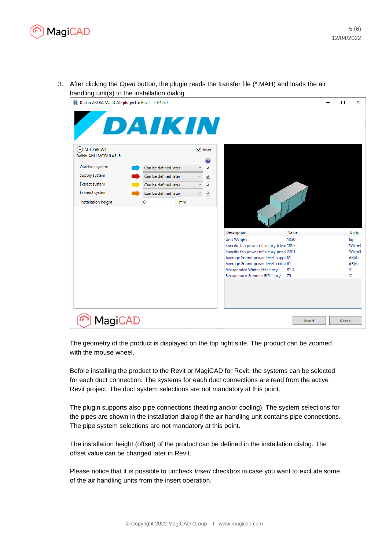

3. After clicking the *Open* button, the plugin reads the transfer file (\*.MAH) and loads the air handling unit(s) to the installation dialog.



The geometry of the product is displayed on the top right side. The product can be zoomed with the mouse wheel.

Before installing the product to the Revit or MagiCAD for Revit, the systems can be selected for each duct connection. The systems for each duct connections are read from the active Revit project. The duct system selections are not mandatory at this point.

The plugin supports also pipe connections (heating and/or cooling). The system selections for the pipes are shown in the installation dialog if the air handling unit contains pipe connections. The pipe system selections are not mandatory at this point.

The installation height (offset) of the product can be defined in the installation dialog. The offset value can be changed later in Revit.

Please notice that it is possible to uncheck *Insert* checkbox in case you want to exclude some of the air handling units from the insert operation.